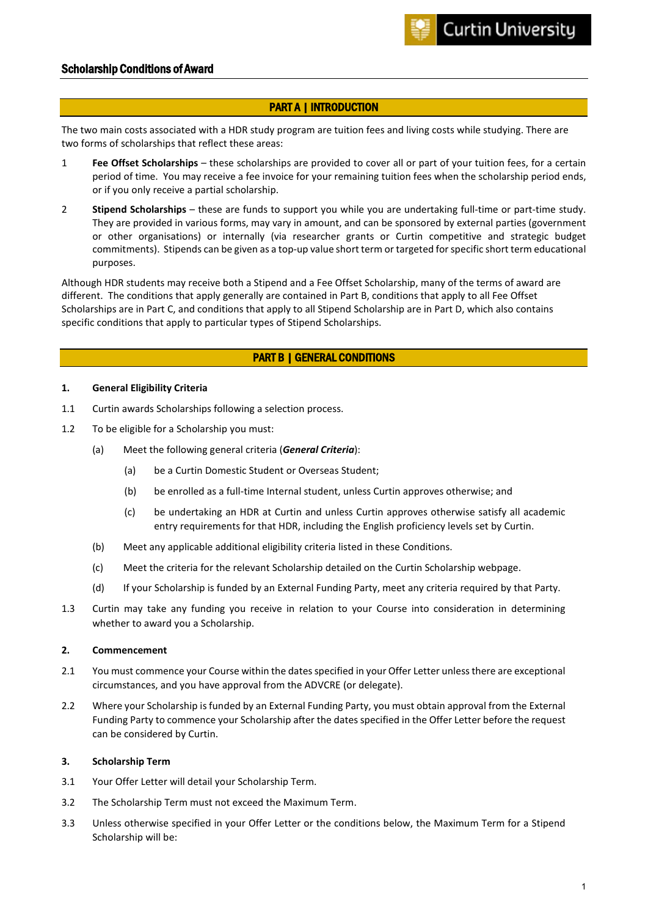# Scholarship Conditions of Award

# PART A | INTRODUCTION

The two main costs associated with a HDR study program are tuition fees and living costs while studying. There are two forms of scholarships that reflect these areas:

- 1 **Fee Offset Scholarships** these scholarships are provided to cover all or part of your tuition fees, for a certain period of time. You may receive a fee invoice for your remaining tuition fees when the scholarship period ends, or if you only receive a partial scholarship.
- 2 **Stipend Scholarships** these are funds to support you while you are undertaking full-time or part-time study. They are provided in various forms, may vary in amount, and can be sponsored by external parties (government or other organisations) or internally (via researcher grants or Curtin competitive and strategic budget commitments). Stipends can be given as a top-up value short term or targeted for specific short term educational purposes.

Although HDR students may receive both a Stipend and a Fee Offset Scholarship, many of the terms of award are different. The conditions that apply generally are contained in Part B, conditions that apply to all Fee Offset Scholarships are in Part C, and conditions that apply to all Stipend Scholarship are in Part D, which also contains specific conditions that apply to particular types of Stipend Scholarships.

# PART B | GENERAL CONDITIONS

#### **1. General Eligibility Criteria**

- 1.1 Curtin awards Scholarships following a selection process.
- 1.2 To be eligible for a Scholarship you must:
	- (a) Meet the following general criteria (*General Criteria*):
		- (a) be a Curtin Domestic Student or Overseas Student;
		- (b) be enrolled as a full-time Internal student, unless Curtin approves otherwise; and
		- (c) be undertaking an HDR at Curtin and unless Curtin approves otherwise satisfy all academic entry requirements for that HDR, including the English proficiency levels set by Curtin.
	- (b) Meet any applicable additional eligibility criteria listed in these Conditions.
	- (c) Meet the criteria for the relevant Scholarship detailed on the Curtin Scholarship webpage.
	- (d) If your Scholarship is funded by an External Funding Party, meet any criteria required by that Party.
- 1.3 Curtin may take any funding you receive in relation to your Course into consideration in determining whether to award you a Scholarship.

#### **2. Commencement**

- 2.1 You must commence your Course within the dates specified in your Offer Letter unless there are exceptional circumstances, and you have approval from the ADVCRE (or delegate).
- 2.2 Where your Scholarship is funded by an External Funding Party, you must obtain approval from the External Funding Party to commence your Scholarship after the dates specified in the Offer Letter before the request can be considered by Curtin.

# <span id="page-0-0"></span>**3. Scholarship Term**

- 3.1 Your Offer Letter will detail your Scholarship Term.
- 3.2 The Scholarship Term must not exceed the Maximum Term.
- 3.3 Unless otherwise specified in your Offer Letter or the conditions below, the Maximum Term for a Stipend Scholarship will be: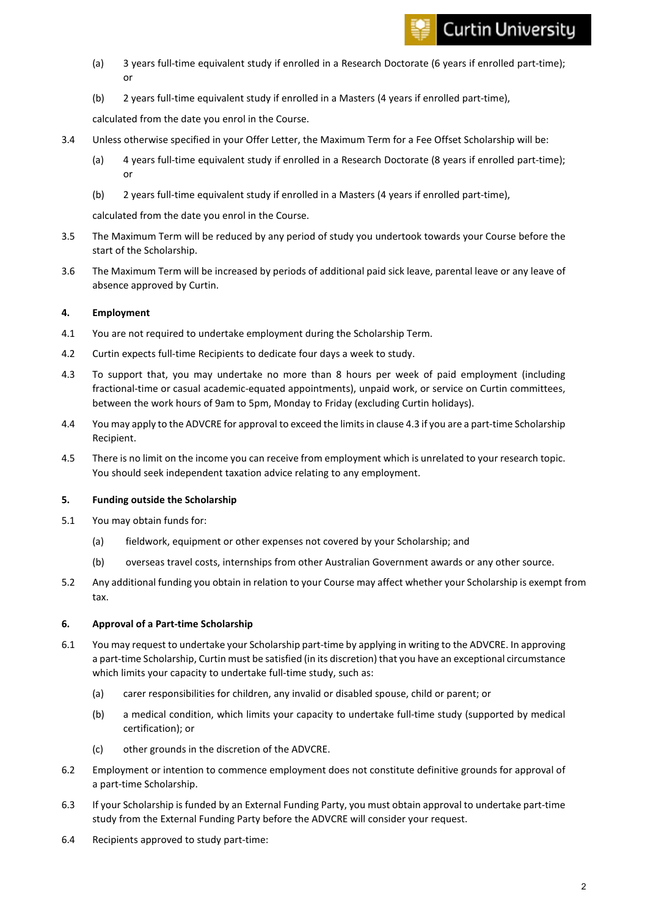# **Curtin University**

- (a) 3 years full-time equivalent study if enrolled in a Research Doctorate (6 years if enrolled part-time); or
- (b) 2 years full-time equivalent study if enrolled in a Masters (4 years if enrolled part-time),

calculated from the date you enrol in the Course.

- 3.4 Unless otherwise specified in your Offer Letter, the Maximum Term for a Fee Offset Scholarship will be:
	- (a) 4 years full-time equivalent study if enrolled in a Research Doctorate (8 years if enrolled part-time); or
	- (b) 2 years full-time equivalent study if enrolled in a Masters (4 years if enrolled part-time),

calculated from the date you enrol in the Course.

- 3.5 The Maximum Term will be reduced by any period of study you undertook towards your Course before the start of the Scholarship.
- 3.6 The Maximum Term will be increased by periods of additional paid sick leave, parental leave or any leave of absence approved by Curtin.

# **4. Employment**

- 4.1 You are not required to undertake employment during the Scholarship Term.
- 4.2 Curtin expects full-time Recipients to dedicate four days a week to study.
- <span id="page-1-0"></span>4.3 To support that, you may undertake no more than 8 hours per week of paid employment (including fractional-time or casual academic-equated appointments), unpaid work, or service on Curtin committees, between the work hours of 9am to 5pm, Monday to Friday (excluding Curtin holidays).
- 4.4 You may apply to the ADVCRE for approval to exceed the limits in claus[e 4.3](#page-1-0) if you are a part-time Scholarship Recipient.
- 4.5 There is no limit on the income you can receive from employment which is unrelated to your research topic. You should seek independent taxation advice relating to any employment.

# **5. Funding outside the Scholarship**

- 5.1 You may obtain funds for:
	- (a) fieldwork, equipment or other expenses not covered by your Scholarship; and
	- (b) overseas travel costs, internships from other Australian Government awards or any other source.
- 5.2 Any additional funding you obtain in relation to your Course may affect whether your Scholarship is exempt from tax.

# **6. Approval of a Part-time Scholarship**

- 6.1 You may request to undertake your Scholarship part-time by applying in writing to the ADVCRE. In approving a part-time Scholarship, Curtin must be satisfied (in its discretion) that you have an exceptional circumstance which limits your capacity to undertake full-time study, such as:
	- (a) carer responsibilities for children, any invalid or disabled spouse, child or parent; or
	- (b) a medical condition, which limits your capacity to undertake full-time study (supported by medical certification); or
	- (c) other grounds in the discretion of the ADVCRE.
- 6.2 Employment or intention to commence employment does not constitute definitive grounds for approval of a part-time Scholarship.
- 6.3 If your Scholarship is funded by an External Funding Party, you must obtain approval to undertake part-time study from the External Funding Party before the ADVCRE will consider your request.
- 6.4 Recipients approved to study part-time: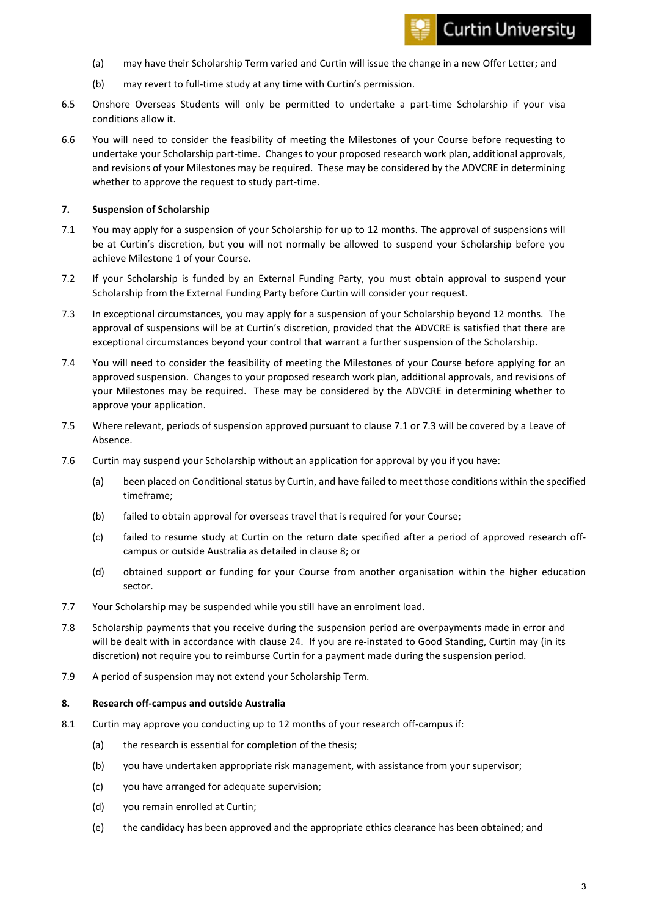- (a) may have their Scholarship Term varied and Curtin will issue the change in a new Offer Letter; and
- (b) may revert to full-time study at any time with Curtin's permission.
- 6.5 Onshore Overseas Students will only be permitted to undertake a part-time Scholarship if your visa conditions allow it.
- 6.6 You will need to consider the feasibility of meeting the Milestones of your Course before requesting to undertake your Scholarship part-time. Changes to your proposed research work plan, additional approvals, and revisions of your Milestones may be required. These may be considered by the ADVCRE in determining whether to approve the request to study part-time.

### **7. Suspension of Scholarship**

- <span id="page-2-0"></span>7.1 You may apply for a suspension of your Scholarship for up to 12 months. The approval of suspensions will be at Curtin's discretion, but you will not normally be allowed to suspend your Scholarship before you achieve Milestone 1 of your Course.
- 7.2 If your Scholarship is funded by an External Funding Party, you must obtain approval to suspend your Scholarship from the External Funding Party before Curtin will consider your request.
- <span id="page-2-1"></span>7.3 In exceptional circumstances, you may apply for a suspension of your Scholarship beyond 12 months. The approval of suspensions will be at Curtin's discretion, provided that the ADVCRE is satisfied that there are exceptional circumstances beyond your control that warrant a further suspension of the Scholarship.
- 7.4 You will need to consider the feasibility of meeting the Milestones of your Course before applying for an approved suspension. Changes to your proposed research work plan, additional approvals, and revisions of your Milestones may be required. These may be considered by the ADVCRE in determining whether to approve your application.
- 7.5 Where relevant, periods of suspension approved pursuant to claus[e 7.1](#page-2-0) or [7.3](#page-2-1) will be covered by a Leave of Absence.
- 7.6 Curtin may suspend your Scholarship without an application for approval by you if you have:
	- (a) been placed on Conditional status by Curtin, and have failed to meet those conditions within the specified timeframe;
	- (b) failed to obtain approval for overseas travel that is required for your Course;
	- (c) failed to resume study at Curtin on the return date specified after a period of approved research offcampus or outside Australia as detailed in clause [8;](#page-2-2) or
	- (d) obtained support or funding for your Course from another organisation within the higher education sector.
- 7.7 Your Scholarship may be suspended while you still have an enrolment load.
- 7.8 Scholarship payments that you receive during the suspension period are overpayments made in error and will be dealt with in accordance with clause [24.](#page-7-0) If you are re-instated to Good Standing, Curtin may (in its discretion) not require you to reimburse Curtin for a payment made during the suspension period.
- 7.9 A period of suspension may not extend your Scholarship Term.

#### <span id="page-2-2"></span>**8. Research off-campus and outside Australia**

- 8.1 Curtin may approve you conducting up to 12 months of your research off-campus if:
	- (a) the research is essential for completion of the thesis;
	- (b) you have undertaken appropriate risk management, with assistance from your supervisor;
	- (c) you have arranged for adequate supervision;
	- (d) you remain enrolled at Curtin;
	- (e) the candidacy has been approved and the appropriate ethics clearance has been obtained; and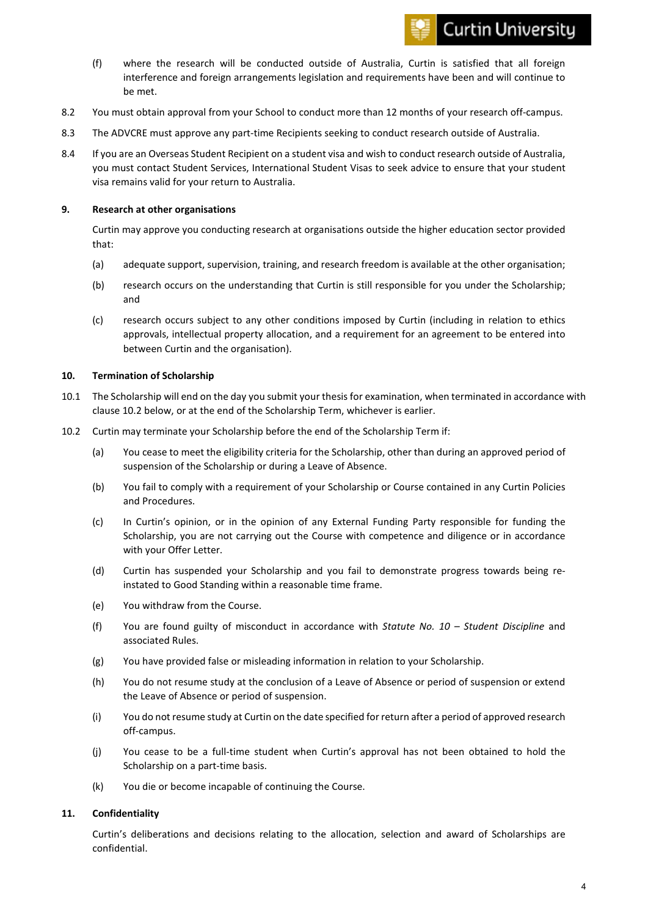# **Curtin University**

- (f) where the research will be conducted outside of Australia, Curtin is satisfied that all foreign interference and foreign arrangements legislation and requirements have been and will continue to be met.
- 8.2 You must obtain approval from your School to conduct more than 12 months of your research off-campus.
- 8.3 The ADVCRE must approve any part-time Recipients seeking to conduct research outside of Australia.
- 8.4 If you are an Overseas Student Recipient on a student visa and wish to conduct research outside of Australia, you must contact Student Services, International Student Visas to seek advice to ensure that your student visa remains valid for your return to Australia.

# **9. Research at other organisations**

Curtin may approve you conducting research at organisations outside the higher education sector provided that:

- (a) adequate support, supervision, training, and research freedom is available at the other organisation;
- (b) research occurs on the understanding that Curtin is still responsible for you under the Scholarship; and
- (c) research occurs subject to any other conditions imposed by Curtin (including in relation to ethics approvals, intellectual property allocation, and a requirement for an agreement to be entered into between Curtin and the organisation).

# **10. Termination of Scholarship**

- 10.1 The Scholarship will end on the day you submit your thesis for examination, when terminated in accordance with clause [10.2](#page-3-0) below, or at the end of the Scholarship Term, whichever is earlier.
- <span id="page-3-0"></span>10.2 Curtin may terminate your Scholarship before the end of the Scholarship Term if:
	- (a) You cease to meet the eligibility criteria for the Scholarship, other than during an approved period of suspension of the Scholarship or during a Leave of Absence.
	- (b) You fail to comply with a requirement of your Scholarship or Course contained in any Curtin Policies and Procedures.
	- (c) In Curtin's opinion, or in the opinion of any External Funding Party responsible for funding the Scholarship, you are not carrying out the Course with competence and diligence or in accordance with your Offer Letter.
	- (d) Curtin has suspended your Scholarship and you fail to demonstrate progress towards being reinstated to Good Standing within a reasonable time frame.
	- (e) You withdraw from the Course.
	- (f) You are found guilty of misconduct in accordance with *Statute No. 10 – Student Discipline* and associated Rules.
	- (g) You have provided false or misleading information in relation to your Scholarship.
	- (h) You do not resume study at the conclusion of a Leave of Absence or period of suspension or extend the Leave of Absence or period of suspension.
	- (i) You do not resume study at Curtin on the date specified for return after a period of approved research off-campus.
	- (j) You cease to be a full-time student when Curtin's approval has not been obtained to hold the Scholarship on a part-time basis.
	- (k) You die or become incapable of continuing the Course.

# **11. Confidentiality**

Curtin's deliberations and decisions relating to the allocation, selection and award of Scholarships are confidential.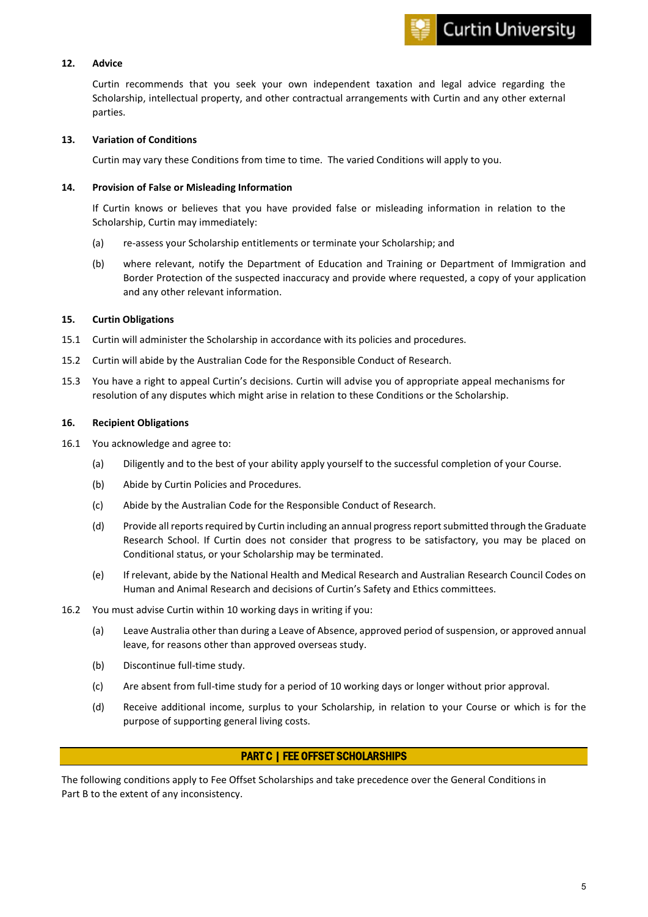

#### **12. Advice**

Curtin recommends that you seek your own independent taxation and legal advice regarding the Scholarship, intellectual property, and other contractual arrangements with Curtin and any other external parties.

#### **13. Variation of Conditions**

Curtin may vary these Conditions from time to time. The varied Conditions will apply to you.

# **14. Provision of False or Misleading Information**

If Curtin knows or believes that you have provided false or misleading information in relation to the Scholarship, Curtin may immediately:

- (a) re-assess your Scholarship entitlements or terminate your Scholarship; and
- (b) where relevant, notify the Department of Education and Training or Department of Immigration and Border Protection of the suspected inaccuracy and provide where requested, a copy of your application and any other relevant information.

#### **15. Curtin Obligations**

- 15.1 Curtin will administer the Scholarship in accordance with its policies and procedures.
- 15.2 Curtin will abide by the Australian Code for the Responsible Conduct of Research.
- 15.3 You have a right to appeal Curtin's decisions. Curtin will advise you of appropriate appeal mechanisms for resolution of any disputes which might arise in relation to these Conditions or the Scholarship.

#### **16. Recipient Obligations**

- 16.1 You acknowledge and agree to:
	- (a) Diligently and to the best of your ability apply yourself to the successful completion of your Course.
	- (b) Abide by Curtin Policies and Procedures.
	- (c) Abide by the Australian Code for the Responsible Conduct of Research.
	- (d) Provide all reports required by Curtin including an annual progress report submitted through the Graduate Research School. If Curtin does not consider that progress to be satisfactory, you may be placed on Conditional status, or your Scholarship may be terminated.
	- (e) If relevant, abide by the National Health and Medical Research and Australian Research Council Codes on Human and Animal Research and decisions of Curtin's Safety and Ethics committees.
- 16.2 You must advise Curtin within 10 working days in writing if you:
	- (a) Leave Australia other than during a Leave of Absence, approved period of suspension, or approved annual leave, for reasons other than approved overseas study.
	- (b) Discontinue full-time study.
	- (c) Are absent from full-time study for a period of 10 working days or longer without prior approval.
	- (d) Receive additional income, surplus to your Scholarship, in relation to your Course or which is for the purpose of supporting general living costs.

# PART C | FEE OFFSET SCHOLARSHIPS

The following conditions apply to Fee Offset Scholarships and take precedence over the General Conditions in Part B to the extent of any inconsistency.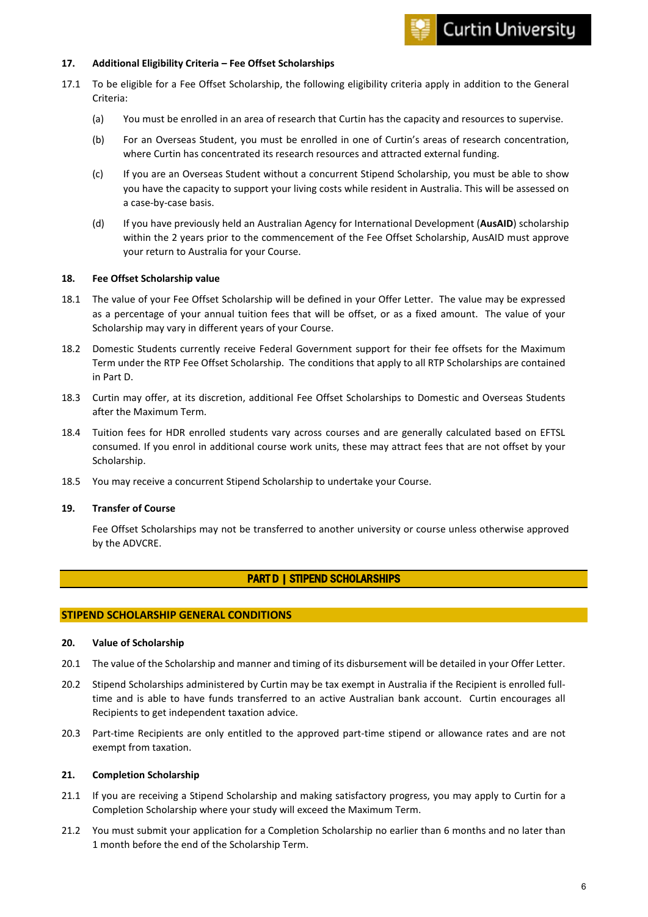#### **17. Additional Eligibility Criteria – Fee Offset Scholarships**

- 17.1 To be eligible for a Fee Offset Scholarship, the following eligibility criteria apply in addition to the General Criteria:
	- (a) You must be enrolled in an area of research that Curtin has the capacity and resources to supervise.
	- (b) For an Overseas Student, you must be enrolled in one of Curtin's areas of research concentration, where Curtin has concentrated its research resources and attracted external funding.
	- (c) If you are an Overseas Student without a concurrent Stipend Scholarship, you must be able to show you have the capacity to support your living costs while resident in Australia. This will be assessed on a case-by-case basis.
	- (d) If you have previously held an Australian Agency for International Development (**AusAID**) scholarship within the 2 years prior to the commencement of the Fee Offset Scholarship, AusAID must approve your return to Australia for your Course.

# **18. Fee Offset Scholarship value**

- 18.1 The value of your Fee Offset Scholarship will be defined in your Offer Letter. The value may be expressed as a percentage of your annual tuition fees that will be offset, or as a fixed amount. The value of your Scholarship may vary in different years of your Course.
- 18.2 Domestic Students currently receive Federal Government support for their fee offsets for the Maximum Term under the RTP Fee Offset Scholarship. The conditions that apply to all RTP Scholarships are contained in Part D.
- 18.3 Curtin may offer, at its discretion, additional Fee Offset Scholarships to Domestic and Overseas Students after the Maximum Term.
- 18.4 Tuition fees for HDR enrolled students vary across courses and are generally calculated based on EFTSL consumed. If you enrol in additional course work units, these may attract fees that are not offset by your Scholarship.
- 18.5 You may receive a concurrent Stipend Scholarship to undertake your Course.

#### **19. Transfer of Course**

Fee Offset Scholarships may not be transferred to another university or course unless otherwise approved by the ADVCRE.

# PART D | STIPEND SCHOLARSHIPS

#### **STIPEND SCHOLARSHIP GENERAL CONDITIONS**

#### <span id="page-5-0"></span>**20. Value of Scholarship**

- 20.1 The value of the Scholarship and manner and timing of its disbursement will be detailed in your Offer Letter.
- 20.2 Stipend Scholarships administered by Curtin may be tax exempt in Australia if the Recipient is enrolled fulltime and is able to have funds transferred to an active Australian bank account. Curtin encourages all Recipients to get independent taxation advice.
- 20.3 Part-time Recipients are only entitled to the approved part-time stipend or allowance rates and are not exempt from taxation.

#### **21. Completion Scholarship**

- 21.1 If you are receiving a Stipend Scholarship and making satisfactory progress, you may apply to Curtin for a Completion Scholarship where your study will exceed the Maximum Term.
- 21.2 You must submit your application for a Completion Scholarship no earlier than 6 months and no later than 1 month before the end of the Scholarship Term.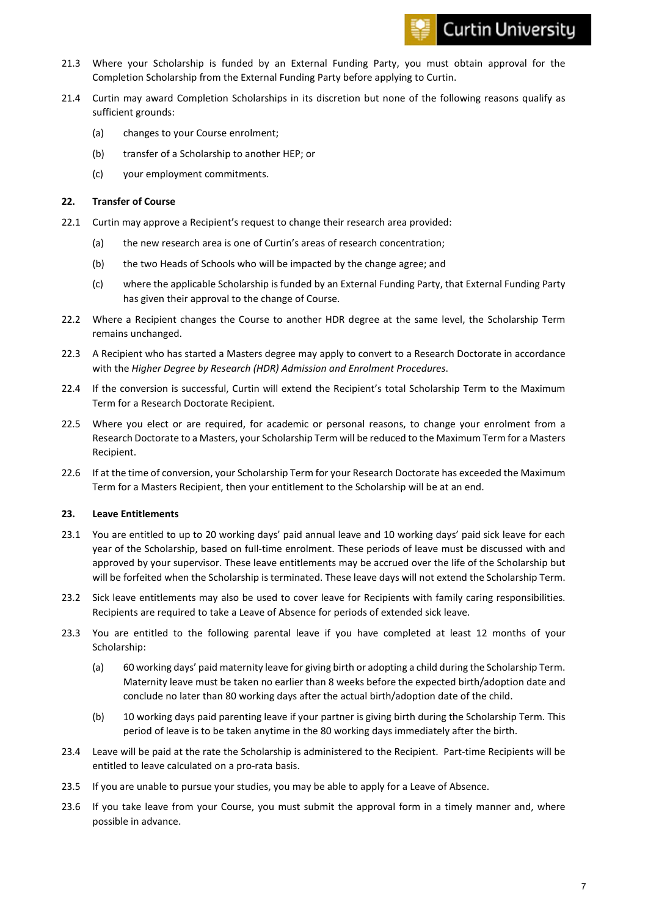- 21.3 Where your Scholarship is funded by an External Funding Party, you must obtain approval for the Completion Scholarship from the External Funding Party before applying to Curtin.
- 21.4 Curtin may award Completion Scholarships in its discretion but none of the following reasons qualify as sufficient grounds:
	- (a) changes to your Course enrolment;
	- (b) transfer of a Scholarship to another HEP; or
	- (c) your employment commitments.

# **22. Transfer of Course**

- 22.1 Curtin may approve a Recipient's request to change their research area provided:
	- (a) the new research area is one of Curtin's areas of research concentration;
	- (b) the two Heads of Schools who will be impacted by the change agree; and
	- (c) where the applicable Scholarship is funded by an External Funding Party, that External Funding Party has given their approval to the change of Course.
- 22.2 Where a Recipient changes the Course to another HDR degree at the same level, the Scholarship Term remains unchanged.
- 22.3 A Recipient who has started a Masters degree may apply to convert to a Research Doctorate in accordance with the *Higher Degree by Research (HDR) Admission and Enrolment Procedures*.
- 22.4 If the conversion is successful, Curtin will extend the Recipient's total Scholarship Term to the Maximum Term for a Research Doctorate Recipient.
- 22.5 Where you elect or are required, for academic or personal reasons, to change your enrolment from a Research Doctorate to a Masters, your Scholarship Term will be reduced to the Maximum Term for a Masters Recipient.
- 22.6 If at the time of conversion, your Scholarship Term for your Research Doctorate has exceeded the Maximum Term for a Masters Recipient, then your entitlement to the Scholarship will be at an end.

# **23. Leave Entitlements**

- <span id="page-6-0"></span>23.1 You are entitled to up to 20 working days' paid annual leave and 10 working days' paid sick leave for each year of the Scholarship, based on full-time enrolment. These periods of leave must be discussed with and approved by your supervisor. These leave entitlements may be accrued over the life of the Scholarship but will be forfeited when the Scholarship is terminated. These leave days will not extend the Scholarship Term.
- 23.2 Sick leave entitlements may also be used to cover leave for Recipients with family caring responsibilities. Recipients are required to take a Leave of Absence for periods of extended sick leave.
- 23.3 You are entitled to the following parental leave if you have completed at least 12 months of your Scholarship:
	- (a) 60 working days' paid maternity leave for giving birth or adopting a child during the Scholarship Term. Maternity leave must be taken no earlier than 8 weeks before the expected birth/adoption date and conclude no later than 80 working days after the actual birth/adoption date of the child.
	- (b) 10 working days paid parenting leave if your partner is giving birth during the Scholarship Term. This period of leave is to be taken anytime in the 80 working days immediately after the birth.
- 23.4 Leave will be paid at the rate the Scholarship is administered to the Recipient. Part-time Recipients will be entitled to leave calculated on a pro-rata basis.
- 23.5 If you are unable to pursue your studies, you may be able to apply for a Leave of Absence.
- 23.6 If you take leave from your Course, you must submit the approval form in a timely manner and, where possible in advance.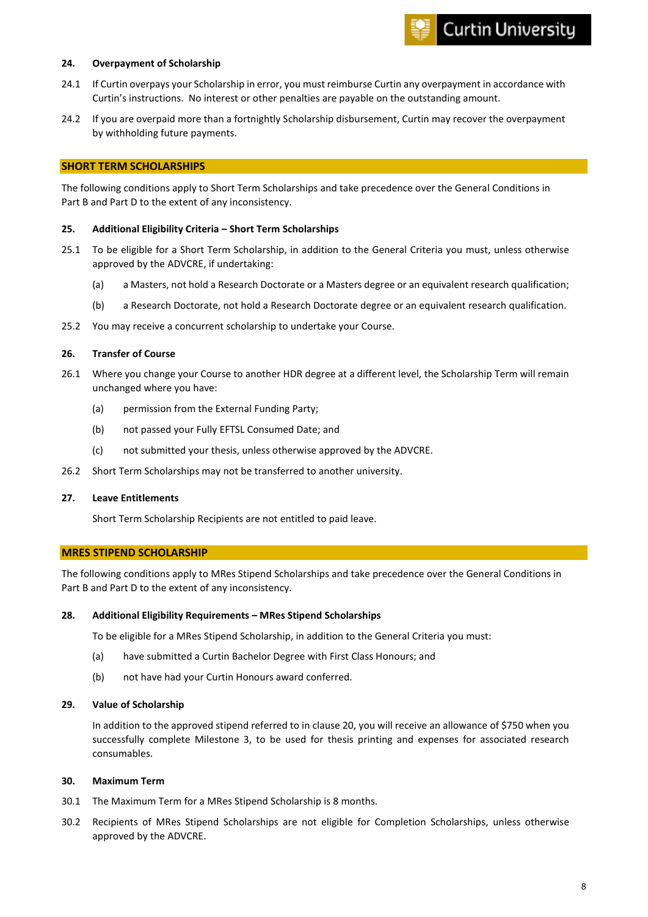# **Curtin University**

#### <span id="page-7-0"></span>**24. Overpayment of Scholarship**

- 24.1 If Curtin overpays your Scholarship in error, you must reimburse Curtin any overpayment in accordance with Curtin's instructions. No interest or other penalties are payable on the outstanding amount.
- 24.2 If you are overpaid more than a fortnightly Scholarship disbursement, Curtin may recover the overpayment by withholding future payments.

# **SHORT TERM SCHOLARSHIPS**

The following conditions apply to Short Term Scholarships and take precedence over the General Conditions in Part B and Part D to the extent of any inconsistency.

#### **25. Additional Eligibility Criteria – Short Term Scholarships**

- 25.1 To be eligible for a Short Term Scholarship, in addition to the General Criteria you must, unless otherwise approved by the ADVCRE, if undertaking:
	- (a) a Masters, not hold a Research Doctorate or a Masters degree or an equivalent research qualification;
	- (b) a Research Doctorate, not hold a Research Doctorate degree or an equivalent research qualification.
- 25.2 You may receive a concurrent scholarship to undertake your Course.

#### **26. Transfer of Course**

- 26.1 Where you change your Course to another HDR degree at a different level, the Scholarship Term will remain unchanged where you have:
	- (a) permission from the External Funding Party;
	- (b) not passed your Fully EFTSL Consumed Date; and
	- (c) not submitted your thesis, unless otherwise approved by the ADVCRE.
- 26.2 Short Term Scholarships may not be transferred to another university.

#### **27. Leave Entitlements**

Short Term Scholarship Recipients are not entitled to paid leave.

# **MRES STIPEND SCHOLARSHIP**

The following conditions apply to MRes Stipend Scholarships and take precedence over the General Conditions in Part B and Part D to the extent of any inconsistency.

#### **28. Additional Eligibility Requirements – MRes Stipend Scholarships**

To be eligible for a MRes Stipend Scholarship, in addition to the General Criteria you must:

- (a) have submitted a Curtin Bachelor Degree with First Class Honours; and
- (b) not have had your Curtin Honours award conferred.

#### **29. Value of Scholarship**

In addition to the approved stipend referred to in clause [20,](#page-5-0) you will receive an allowance of \$750 when you successfully complete Milestone 3, to be used for thesis printing and expenses for associated research consumables.

#### **30. Maximum Term**

- 30.1 The Maximum Term for a MRes Stipend Scholarship is 8 months.
- 30.2 Recipients of MRes Stipend Scholarships are not eligible for Completion Scholarships, unless otherwise approved by the ADVCRE.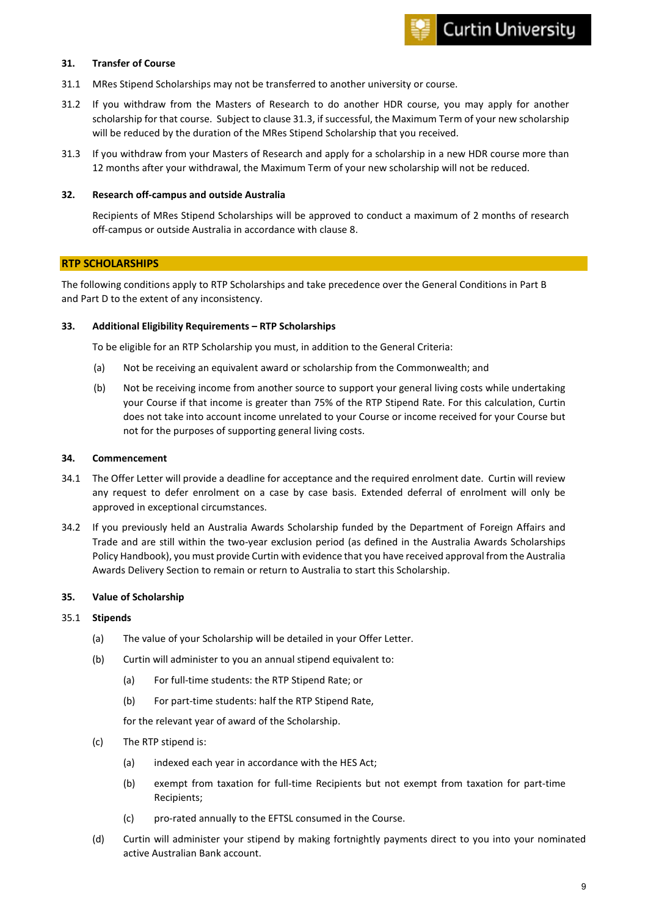#### **31. Transfer of Course**

- 31.1 MRes Stipend Scholarships may not be transferred to another university or course.
- 31.2 If you withdraw from the Masters of Research to do another HDR course, you may apply for another scholarship for that course. Subject to claus[e 31.3,](#page-8-0) if successful, the Maximum Term of your new scholarship will be reduced by the duration of the MRes Stipend Scholarship that you received.
- <span id="page-8-0"></span>31.3 If you withdraw from your Masters of Research and apply for a scholarship in a new HDR course more than 12 months after your withdrawal, the Maximum Term of your new scholarship will not be reduced.

#### **32. Research off-campus and outside Australia**

Recipients of MRes Stipend Scholarships will be approved to conduct a maximum of 2 months of research off-campus or outside Australia in accordance with claus[e 8.](#page-2-2)

# **RTP SCHOLARSHIPS**

The following conditions apply to RTP Scholarships and take precedence over the General Conditions in Part B and Part D to the extent of any inconsistency.

#### **33. Additional Eligibility Requirements – RTP Scholarships**

To be eligible for an RTP Scholarship you must, in addition to the General Criteria:

- (a) Not be receiving an equivalent award or scholarship from the Commonwealth; and
- (b) Not be receiving income from another source to support your general living costs while undertaking your Course if that income is greater than 75% of the RTP Stipend Rate. For this calculation, Curtin does not take into account income unrelated to your Course or income received for your Course but not for the purposes of supporting general living costs.

#### **34. Commencement**

- 34.1 The Offer Letter will provide a deadline for acceptance and the required enrolment date. Curtin will review any request to defer enrolment on a case by case basis. Extended deferral of enrolment will only be approved in exceptional circumstances.
- 34.2 If you previously held an Australia Awards Scholarship funded by the Department of Foreign Affairs and Trade and are still within the two-year exclusion period (as defined in the Australia Awards Scholarships Policy Handbook), you must provide Curtin with evidence that you have received approval from the Australia Awards Delivery Section to remain or return to Australia to start this Scholarship.

#### <span id="page-8-1"></span>**35. Value of Scholarship**

# 35.1 **Stipends**

- (a) The value of your Scholarship will be detailed in your Offer Letter.
- (b) Curtin will administer to you an annual stipend equivalent to:
	- (a) For full-time students: the [RTP Stipend Rate; or](https://www.education.gov.au/research-training-program)
	- (b) For part-time students: [half the RTP Stipend Rate,](https://www.education.gov.au/research-training-program)

for the relevant year of award of the Scholarship.

- (c) The RTP stipend is:
	- (a) indexed each year in accordance with the HES Act;
	- (b) exempt from taxation for full-time Recipients but not exempt from taxation for part-time Recipients;
	- (c) pro-rated annually to the EFTSL consumed in the Course.
- (d) Curtin will administer your stipend by making fortnightly payments direct to you into your nominated active Australian Bank account.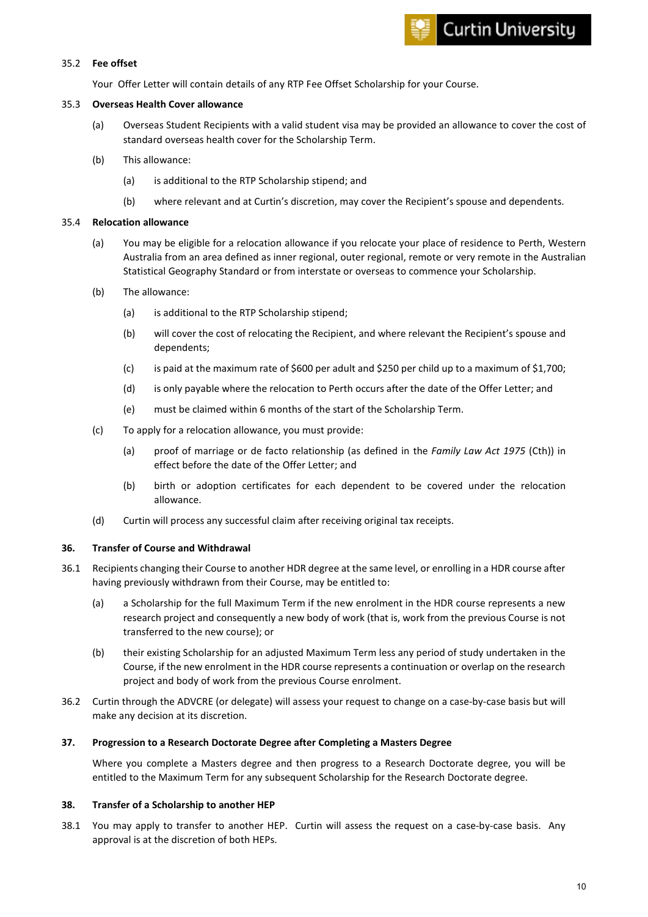#### 35.2 **Fee offset**

Your Offer Letter will contain details of any RTP Fee Offset Scholarship for your Course.

# 35.3 **Overseas Health Cover allowance**

- (a) Overseas Student Recipients with a valid student visa may be provided an allowance to cover the cost of standard overseas health cover for the Scholarship Term.
- (b) This allowance:
	- (a) is additional to the RTP Scholarship stipend; and
	- (b) where relevant and at Curtin's discretion, may cover the Recipient's spouse and dependents.

# 35.4 **Relocation allowance**

- (a) You may be eligible for a relocation allowance if you relocate your place of residence to Perth, Western Australia from an area defined as inner regional, outer regional, remote or very remote in the Australian Statistical Geography Standard or from interstate or overseas to commence your Scholarship.
- (b) The allowance:
	- (a) is additional to the RTP Scholarship stipend;
	- (b) will cover the cost of relocating the Recipient, and where relevant the Recipient's spouse and dependents;
	- (c) is paid at the maximum rate of \$600 per adult and \$250 per child up to a maximum of \$1,700;
	- (d) is only payable where the relocation to Perth occurs after the date of the Offer Letter; and
	- (e) must be claimed within 6 months of the start of the Scholarship Term.
- (c) To apply for a relocation allowance, you must provide:
	- (a) proof of marriage or de facto relationship (as defined in the *Family Law Act 1975* (Cth)) in effect before the date of the Offer Letter; and
	- (b) birth or adoption certificates for each dependent to be covered under the relocation allowance.
- (d) Curtin will process any successful claim after receiving original tax receipts.

# **36. Transfer of Course and Withdrawal**

- 36.1 Recipients changing their Course to another HDR degree at the same level, or enrolling in a HDR course after having previously withdrawn from their Course, may be entitled to:
	- (a) a Scholarship for the full Maximum Term if the new enrolment in the HDR course represents a new research project and consequently a new body of work (that is, work from the previous Course is not transferred to the new course); or
	- (b) their existing Scholarship for an adjusted Maximum Term less any period of study undertaken in the Course, if the new enrolment in the HDR course represents a continuation or overlap on the research project and body of work from the previous Course enrolment.
- 36.2 Curtin through the ADVCRE (or delegate) will assess your request to change on a case-by-case basis but will make any decision at its discretion.

# **37. Progression to a Research Doctorate Degree after Completing a Masters Degree**

Where you complete a Masters degree and then progress to a Research Doctorate degree, you will be entitled to the Maximum Term for any subsequent Scholarship for the Research Doctorate degree.

# **38. Transfer of a Scholarship to another HEP**

38.1 You may apply to transfer to another HEP. Curtin will assess the request on a case-by-case basis. Any approval is at the discretion of both HEPs.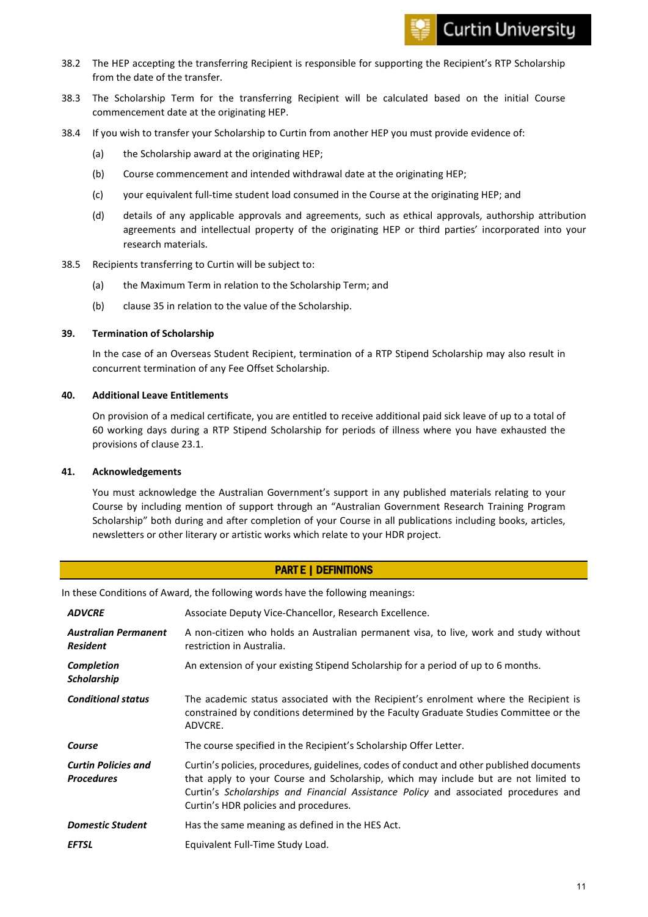- 38.2 The HEP accepting the transferring Recipient is responsible for supporting the Recipient's RTP Scholarship from the date of the transfer.
- 38.3 The Scholarship Term for the transferring Recipient will be calculated based on the initial Course commencement date at the originating HEP.
- 38.4 If you wish to transfer your Scholarship to Curtin from another HEP you must provide evidence of:
	- (a) the Scholarship award at the originating HEP;
	- (b) Course commencement and intended withdrawal date at the originating HEP;
	- (c) your equivalent full-time student load consumed in the Course at the originating HEP; and
	- (d) details of any applicable approvals and agreements, such as ethical approvals, authorship attribution agreements and intellectual property of the originating HEP or third parties' incorporated into your research materials.
- 38.5 Recipients transferring to Curtin will be subject to:
	- (a) the Maximum Term in relation to the Scholarship Term; and
	- (b) clause [35](#page-8-1) in relation to the value of the Scholarship.

#### **39. Termination of Scholarship**

In the case of an Overseas Student Recipient, termination of a RTP Stipend Scholarship may also result in concurrent termination of any Fee Offset Scholarship.

#### **40. Additional Leave Entitlements**

On provision of a medical certificate, you are entitled to receive additional paid sick leave of up to a total of 60 working days during a RTP Stipend Scholarship for periods of illness where you have exhausted the provisions of clause [23.1.](#page-6-0)

#### **41. Acknowledgements**

You must acknowledge the Australian Government's support in any published materials relating to your Course by including mention of support through an "Australian Government Research Training Program Scholarship" both during and after completion of your Course in all publications including books, articles, newsletters or other literary or artistic works which relate to your HDR project.

# PART E | DEFINITIONS

In these Conditions of Award, the following words have the following meanings:

| <b>ADVCRE</b>                                   | Associate Deputy Vice-Chancellor, Research Excellence.                                                                                                                                                                                                                                                           |
|-------------------------------------------------|------------------------------------------------------------------------------------------------------------------------------------------------------------------------------------------------------------------------------------------------------------------------------------------------------------------|
| <b>Australian Permanent</b><br><b>Resident</b>  | A non-citizen who holds an Australian permanent visa, to live, work and study without<br>restriction in Australia.                                                                                                                                                                                               |
| <b>Completion</b><br><b>Scholarship</b>         | An extension of your existing Stipend Scholarship for a period of up to 6 months.                                                                                                                                                                                                                                |
| <b>Conditional status</b>                       | The academic status associated with the Recipient's enrolment where the Recipient is<br>constrained by conditions determined by the Faculty Graduate Studies Committee or the<br>ADVCRE.                                                                                                                         |
| Course                                          | The course specified in the Recipient's Scholarship Offer Letter.                                                                                                                                                                                                                                                |
| <b>Curtin Policies and</b><br><b>Procedures</b> | Curtin's policies, procedures, guidelines, codes of conduct and other published documents<br>that apply to your Course and Scholarship, which may include but are not limited to<br>Curtin's Scholarships and Financial Assistance Policy and associated procedures and<br>Curtin's HDR policies and procedures. |
| <b>Domestic Student</b>                         | Has the same meaning as defined in the HES Act.                                                                                                                                                                                                                                                                  |
| <b>EFTSL</b>                                    | Equivalent Full-Time Study Load.                                                                                                                                                                                                                                                                                 |